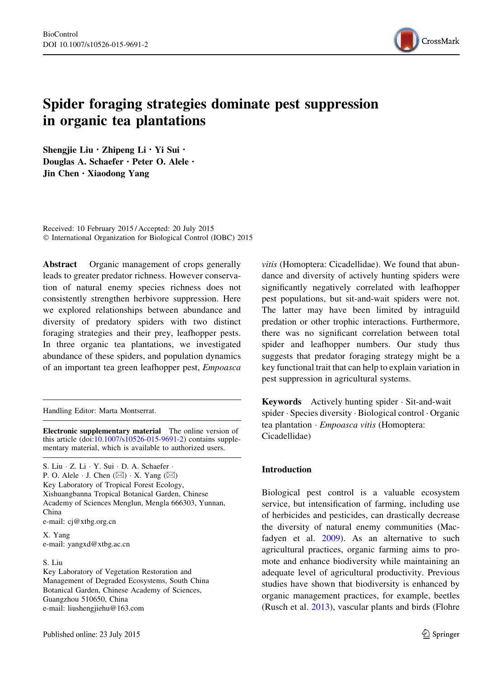

# Spider foraging strategies dominate pest suppression in organic tea plantations

Shengjie Liu  $\cdot$  Zhipeng Li $\cdot$  Yi Sui  $\cdot$ Douglas A. Schaefer · Peter O. Alele · Jin Chen · Xiaodong Yang

Received: 10 February 2015 / Accepted: 20 July 2015 © International Organization for Biological Control (IOBC) 2015

Abstract Organic management of crops generally leads to greater predator richness. However conservation of natural enemy species richness does not consistently strengthen herbivore suppression. Here we explored relationships between abundance and diversity of predatory spiders with two distinct foraging strategies and their prey, leafhopper pests. In three organic tea plantations, we investigated abundance of these spiders, and population dynamics of an important tea green leafhopper pest, Empoasca

Handling Editor: Marta Montserrat.

Electronic supplementary material The online version of this article (doi[:10.1007/s10526-015-9691-2\)](http://dx.doi.org/10.1007/s10526-015-9691-2) contains supplementary material, which is available to authorized users.

S. Liu · Z. Li · Y. Sui · D. A. Schaefer · P. O. Alele  $\cdot$  J. Chen ( $\boxtimes$ )  $\cdot$  X. Yang ( $\boxtimes$ ) Key Laboratory of Tropical Forest Ecology, Xishuangbanna Tropical Botanical Garden, Chinese Academy of Sciences Menglun, Mengla 666303, Yunnan, China e-mail: cj@xtbg.org.cn

X. Yang e-mail: yangxd@xtbg.ac.cn

## S. Liu

Key Laboratory of Vegetation Restoration and Management of Degraded Ecosystems, South China Botanical Garden, Chinese Academy of Sciences, Guangzhou 510650, China e-mail: liushengjiehu@163.com

vitis (Homoptera: Cicadellidae). We found that abundance and diversity of actively hunting spiders were significantly negatively correlated with leafhopper pest populations, but sit-and-wait spiders were not. The latter may have been limited by intraguild predation or other trophic interactions. Furthermore, there was no significant correlation between total spider and leafhopper numbers. Our study thus suggests that predator foraging strategy might be a key functional trait that can help to explain variation in pest suppression in agricultural systems.

Keywords Actively hunting spider - Sit-and-wait spider - Species diversity - Biological control - Organic tea plantation · Empoasca vitis (Homoptera: Cicadellidae)

## Introduction

Biological pest control is a valuable ecosystem service, but intensification of farming, including use of herbicides and pesticides, can drastically decrease the diversity of natural enemy communities (Macfadyen et al. [2009](#page-7-0)). As an alternative to such agricultural practices, organic farming aims to promote and enhance biodiversity while maintaining an adequate level of agricultural productivity. Previous studies have shown that biodiversity is enhanced by organic management practices, for example, beetles (Rusch et al. [2013\)](#page-8-0), vascular plants and birds (Flohre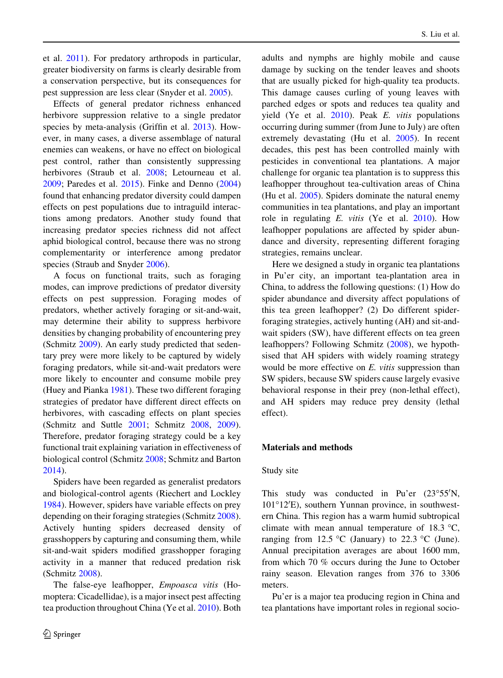et al. [2011](#page-7-0)). For predatory arthropods in particular, greater biodiversity on farms is clearly desirable from a conservation perspective, but its consequences for pest suppression are less clear (Snyder et al. [2005\)](#page-8-0).

Effects of general predator richness enhanced herbivore suppression relative to a single predator species by meta-analysis (Griffin et al. [2013](#page-7-0)). However, in many cases, a diverse assemblage of natural enemies can weakens, or have no effect on biological pest control, rather than consistently suppressing herbivores (Straub et al. [2008](#page-8-0); Letourneau et al. [2009;](#page-7-0) Paredes et al. [2015\)](#page-7-0). Finke and Denno ([2004\)](#page-7-0) found that enhancing predator diversity could dampen effects on pest populations due to intraguild interactions among predators. Another study found that increasing predator species richness did not affect aphid biological control, because there was no strong complementarity or interference among predator species (Straub and Snyder [2006\)](#page-8-0).

A focus on functional traits, such as foraging modes, can improve predictions of predator diversity effects on pest suppression. Foraging modes of predators, whether actively foraging or sit-and-wait, may determine their ability to suppress herbivore densities by changing probability of encountering prey (Schmitz [2009\)](#page-8-0). An early study predicted that sedentary prey were more likely to be captured by widely foraging predators, while sit-and-wait predators were more likely to encounter and consume mobile prey (Huey and Pianka [1981](#page-7-0)). These two different foraging strategies of predator have different direct effects on herbivores, with cascading effects on plant species (Schmitz and Suttle [2001;](#page-8-0) Schmitz [2008,](#page-8-0) [2009](#page-8-0)). Therefore, predator foraging strategy could be a key functional trait explaining variation in effectiveness of biological control (Schmitz [2008](#page-8-0); Schmitz and Barton [2014\)](#page-8-0).

Spiders have been regarded as generalist predators and biological-control agents (Riechert and Lockley [1984\)](#page-7-0). However, spiders have variable effects on prey depending on their foraging strategies (Schmitz [2008](#page-8-0)). Actively hunting spiders decreased density of grasshoppers by capturing and consuming them, while sit-and-wait spiders modified grasshopper foraging activity in a manner that reduced predation risk (Schmitz [2008\)](#page-8-0).

The false-eye leafhopper, Empoasca vitis (Homoptera: Cicadellidae), is a major insect pest affecting tea production throughout China (Ye et al. [2010](#page-8-0)). Both adults and nymphs are highly mobile and cause damage by sucking on the tender leaves and shoots that are usually picked for high-quality tea products. This damage causes curling of young leaves with parched edges or spots and reduces tea quality and yield (Ye et al.  $2010$ ). Peak E. vitis populations occurring during summer (from June to July) are often extremely devastating (Hu et al. [2005\)](#page-7-0). In recent decades, this pest has been controlled mainly with pesticides in conventional tea plantations. A major challenge for organic tea plantation is to suppress this leafhopper throughout tea-cultivation areas of China (Hu et al. [2005](#page-7-0)). Spiders dominate the natural enemy communities in tea plantations, and play an important role in regulating  $E$ . *vitis* (Ye et al. [2010\)](#page-8-0). How leafhopper populations are affected by spider abundance and diversity, representing different foraging strategies, remains unclear.

Here we designed a study in organic tea plantations in Pu'er city, an important tea-plantation area in China, to address the following questions: (1) How do spider abundance and diversity affect populations of this tea green leafhopper? (2) Do different spiderforaging strategies, actively hunting (AH) and sit-andwait spiders (SW), have different effects on tea green leafhoppers? Following Schmitz [\(2008](#page-8-0)), we hypothsised that AH spiders with widely roaming strategy would be more effective on  $E$ . vitis suppression than SW spiders, because SW spiders cause largely evasive behavioral response in their prey (non-lethal effect), and AH spiders may reduce prey density (lethal effect).

## Materials and methods

## Study site

This study was conducted in Pu'er  $(23°55'N,$ 101°12'E), southern Yunnan province, in southwestern China. This region has a warm humid subtropical climate with mean annual temperature of 18.3  $\textdegree C$ , ranging from 12.5 °C (January) to 22.3 °C (June). Annual precipitation averages are about 1600 mm, from which 70 % occurs during the June to October rainy season. Elevation ranges from 376 to 3306 meters.

Pu'er is a major tea producing region in China and tea plantations have important roles in regional socio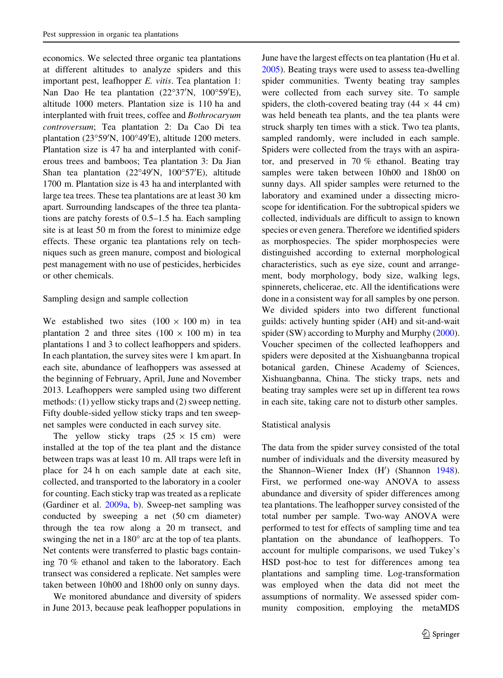economics. We selected three organic tea plantations at different altitudes to analyze spiders and this important pest, leafhopper E. vitis. Tea plantation 1: Nan Dao He tea plantation  $(22^{\circ}37^{\prime}N, 100^{\circ}59^{\prime}E)$ , altitude 1000 meters. Plantation size is 110 ha and interplanted with fruit trees, coffee and Bothrocaryum controversum; Tea plantation 2: Da Cao Di tea plantation  $(23°59'N, 100°49'E)$ , altitude 1200 meters. Plantation size is 47 ha and interplanted with coniferous trees and bamboos; Tea plantation 3: Da Jian Shan tea plantation  $(22^{\circ}49'N, 100^{\circ}57'E)$ , altitude 1700 m. Plantation size is 43 ha and interplanted with large tea trees. These tea plantations are at least 30 km apart. Surrounding landscapes of the three tea plantations are patchy forests of 0.5–1.5 ha. Each sampling site is at least 50 m from the forest to minimize edge effects. These organic tea plantations rely on techniques such as green manure, compost and biological pest management with no use of pesticides, herbicides or other chemicals.

## Sampling design and sample collection

We established two sites  $(100 \times 100 \text{ m})$  in tea plantation 2 and three sites  $(100 \times 100 \text{ m})$  in tea plantations 1 and 3 to collect leafhoppers and spiders. In each plantation, the survey sites were 1 km apart. In each site, abundance of leafhoppers was assessed at the beginning of February, April, June and November 2013. Leafhoppers were sampled using two different methods: (1) yellow sticky traps and (2) sweep netting. Fifty double-sided yellow sticky traps and ten sweepnet samples were conducted in each survey site.

The yellow sticky traps  $(25 \times 15 \text{ cm})$  were installed at the top of the tea plant and the distance between traps was at least 10 m. All traps were left in place for 24 h on each sample date at each site, collected, and transported to the laboratory in a cooler for counting. Each sticky trap was treated as a replicate (Gardiner et al. [2009a,](#page-7-0) [b](#page-7-0)). Sweep-net sampling was conducted by sweeping a net (50 cm diameter) through the tea row along a 20 m transect, and swinging the net in a  $180^\circ$  arc at the top of tea plants. Net contents were transferred to plastic bags containing 70 % ethanol and taken to the laboratory. Each transect was considered a replicate. Net samples were taken between 10h00 and 18h00 only on sunny days.

We monitored abundance and diversity of spiders in June 2013, because peak leafhopper populations in June have the largest effects on tea plantation (Hu et al. [2005\)](#page-7-0). Beating trays were used to assess tea-dwelling spider communities. Twenty beating tray samples were collected from each survey site. To sample spiders, the cloth-covered beating tray (44  $\times$  44 cm) was held beneath tea plants, and the tea plants were struck sharply ten times with a stick. Two tea plants, sampled randomly, were included in each sample. Spiders were collected from the trays with an aspirator, and preserved in 70 % ethanol. Beating tray samples were taken between 10h00 and 18h00 on sunny days. All spider samples were returned to the laboratory and examined under a dissecting microscope for identification. For the subtropical spiders we collected, individuals are difficult to assign to known species or even genera. Therefore we identified spiders as morphospecies. The spider morphospecies were distinguished according to external morphological characteristics, such as eye size, count and arrangement, body morphology, body size, walking legs, spinnerets, chelicerae, etc. All the identifications were done in a consistent way for all samples by one person. We divided spiders into two different functional guilds: actively hunting spider (AH) and sit-and-wait spider (SW) according to Murphy and Murphy ([2000](#page-7-0)). Voucher specimen of the collected leafhoppers and spiders were deposited at the Xishuangbanna tropical botanical garden, Chinese Academy of Sciences, Xishuangbanna, China. The sticky traps, nets and beating tray samples were set up in different tea rows in each site, taking care not to disturb other samples.

## Statistical analysis

The data from the spider survey consisted of the total number of individuals and the diversity measured by the Shannon-Wiener Index (H') (Shannon [1948](#page-8-0)). First, we performed one-way ANOVA to assess abundance and diversity of spider differences among tea plantations. The leafhopper survey consisted of the total number per sample. Two-way ANOVA were performed to test for effects of sampling time and tea plantation on the abundance of leafhoppers. To account for multiple comparisons, we used Tukey's HSD post-hoc to test for differences among tea plantations and sampling time. Log-transformation was employed when the data did not meet the assumptions of normality. We assessed spider community composition, employing the metaMDS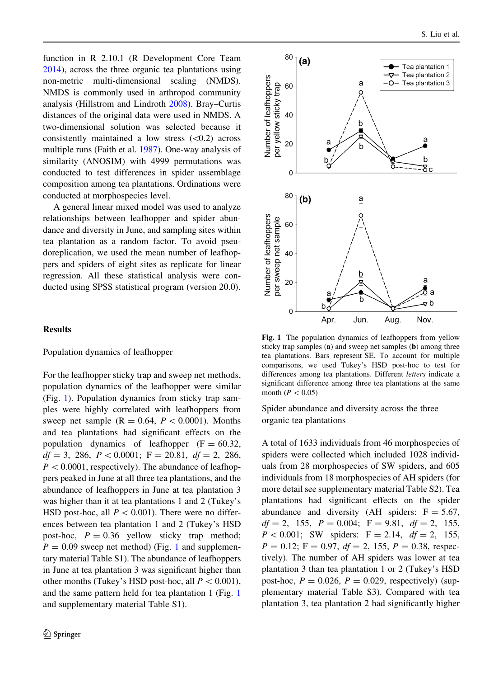function in R 2.10.1 (R Development Core Team [2014\)](#page-7-0), across the three organic tea plantations using non-metric multi-dimensional scaling (NMDS). NMDS is commonly used in arthropod community analysis (Hillstrom and Lindroth [2008](#page-7-0)). Bray–Curtis distances of the original data were used in NMDS. A two-dimensional solution was selected because it consistently maintained a low stress  $( $0.2$ ) across$ multiple runs (Faith et al. [1987](#page-7-0)). One-way analysis of similarity (ANOSIM) with 4999 permutations was conducted to test differences in spider assemblage composition among tea plantations. Ordinations were conducted at morphospecies level.

A general linear mixed model was used to analyze relationships between leafhopper and spider abundance and diversity in June, and sampling sites within tea plantation as a random factor. To avoid pseudoreplication, we used the mean number of leafhoppers and spiders of eight sites as replicate for linear regression. All these statistical analysis were conducted using SPSS statistical program (version 20.0).

## Results

#### Population dynamics of leafhopper

For the leafhopper sticky trap and sweep net methods, population dynamics of the leafhopper were similar (Fig. 1). Population dynamics from sticky trap samples were highly correlated with leafhoppers from sweep net sample ( $R = 0.64$ ,  $P < 0.0001$ ). Months and tea plantations had significant effects on the population dynamics of leafhopper  $(F = 60.32,$  $df = 3$ , 286,  $P < 0.0001$ ; F = 20.81,  $df = 2$ , 286,  $P < 0.0001$ , respectively). The abundance of leafhoppers peaked in June at all three tea plantations, and the abundance of leafhoppers in June at tea plantation 3 was higher than it at tea plantations 1 and 2 (Tukey's HSD post-hoc, all  $P < 0.001$ ). There were no differences between tea plantation 1 and 2 (Tukey's HSD post-hoc,  $P = 0.36$  yellow sticky trap method;  $P = 0.09$  sweep net method) (Fig. 1 and supplementary material Table S1). The abundance of leafhoppers in June at tea plantation 3 was significant higher than other months (Tukey's HSD post-hoc, all  $P < 0.001$ ), and the same pattern held for tea plantation 1 (Fig. 1 and supplementary material Table S1).



Fig. 1 The population dynamics of leafhoppers from yellow sticky trap samples (a) and sweep net samples (b) among three tea plantations. Bars represent SE. To account for multiple comparisons, we used Tukey's HSD post-hoc to test for differences among tea plantations. Different letters indicate a significant difference among three tea plantations at the same month ( $P < 0.05$ )

Spider abundance and diversity across the three organic tea plantations

A total of 1633 individuals from 46 morphospecies of spiders were collected which included 1028 individuals from 28 morphospecies of SW spiders, and 605 individuals from 18 morphospecies of AH spiders (for more detail see supplementary material Table S2). Tea plantations had significant effects on the spider abundance and diversity (AH spiders:  $F = 5.67$ ,  $df = 2$ , 155,  $P = 0.004$ ;  $F = 9.81$ ,  $df = 2$ , 155,  $P < 0.001$ ; SW spiders: F = 2.14,  $df = 2$ , 155,  $P = 0.12$ ; F = 0.97,  $df = 2$ , 155,  $P = 0.38$ , respectively). The number of AH spiders was lower at tea plantation 3 than tea plantation 1 or 2 (Tukey's HSD post-hoc,  $P = 0.026$ ,  $P = 0.029$ , respectively) (supplementary material Table S3). Compared with tea plantation 3, tea plantation 2 had significantly higher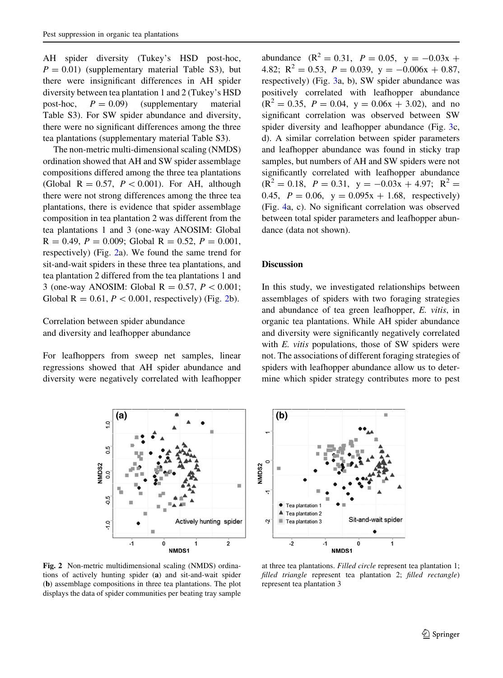AH spider diversity (Tukey's HSD post-hoc,  $P = 0.01$ ) (supplementary material Table S3), but there were insignificant differences in AH spider diversity between tea plantation 1 and 2 (Tukey's HSD post-hoc,  $P = 0.09$  (supplementary material Table S3). For SW spider abundance and diversity, there were no significant differences among the three tea plantations (supplementary material Table S3).

The non-metric multi-dimensional scaling (NMDS) ordination showed that AH and SW spider assemblage compositions differed among the three tea plantations (Global  $R = 0.57$ ,  $P < 0.001$ ). For AH, although there were not strong differences among the three tea plantations, there is evidence that spider assemblage composition in tea plantation 2 was different from the tea plantations 1 and 3 (one-way ANOSIM: Global  $R = 0.49, P = 0.009;$  Global  $R = 0.52, P = 0.001,$ respectively) (Fig. 2a). We found the same trend for sit-and-wait spiders in these three tea plantations, and tea plantation 2 differed from the tea plantations 1 and 3 (one-way ANOSIM: Global  $R = 0.57$ ,  $P < 0.001$ ; Global  $R = 0.61$ ,  $P < 0.001$ , respectively) (Fig. 2b).

## Correlation between spider abundance and diversity and leafhopper abundance

For leafhoppers from sweep net samples, linear regressions showed that AH spider abundance and diversity were negatively correlated with leafhopper



Fig. 2 Non-metric multidimensional scaling (NMDS) ordinations of actively hunting spider (a) and sit-and-wait spider (b) assemblage compositions in three tea plantations. The plot displays the data of spider communities per beating tray sample

abundance  $(R^2 = 0.31, P = 0.05, y = -0.03x +$ 4.82;  $R^2 = 0.53$ ,  $P = 0.039$ ,  $y = -0.006x + 0.87$ , respectively) (Fig. [3a](#page-5-0), b), SW spider abundance was positively correlated with leafhopper abundance  $(R^{2} = 0.35, P = 0.04, y = 0.06x + 3.02)$ , and no significant correlation was observed between SW spider diversity and leafhopper abundance (Fig. [3](#page-5-0)c, d). A similar correlation between spider parameters and leafhopper abundance was found in sticky trap samples, but numbers of AH and SW spiders were not significantly correlated with leafhopper abundance  $(R^{2} = 0.18, P = 0.31, y = -0.03x + 4.97; R^{2} =$ 0.45,  $P = 0.06$ ,  $y = 0.095x + 1.68$ , respectively) (Fig. [4](#page-6-0)a, c). No significant correlation was observed between total spider parameters and leafhopper abundance (data not shown).

#### **Discussion**

In this study, we investigated relationships between assemblages of spiders with two foraging strategies and abundance of tea green leafhopper, E. vitis, in organic tea plantations. While AH spider abundance and diversity were significantly negatively correlated with E. vitis populations, those of SW spiders were not. The associations of different foraging strategies of spiders with leafhopper abundance allow us to determine which spider strategy contributes more to pest



at three tea plantations. Filled circle represent tea plantation 1; filled triangle represent tea plantation 2; filled rectangle) represent tea plantation 3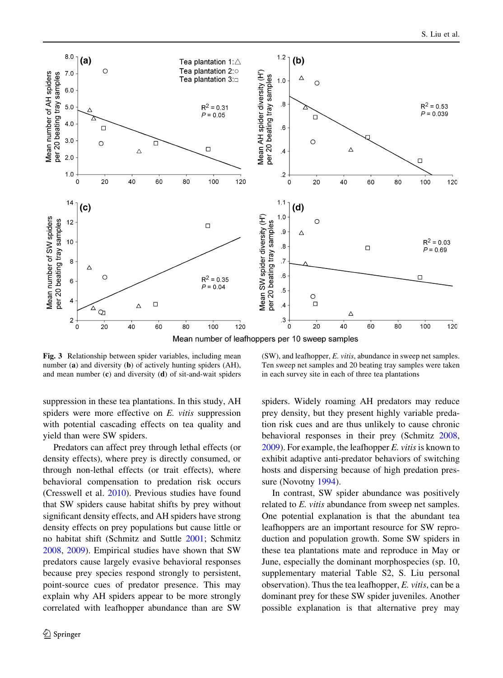<span id="page-5-0"></span>

Fig. 3 Relationship between spider variables, including mean number (a) and diversity (b) of actively hunting spiders (AH), and mean number  $(c)$  and diversity  $(d)$  of sit-and-wait spiders

(SW), and leafhopper, E. vitis, abundance in sweep net samples. Ten sweep net samples and 20 beating tray samples were taken in each survey site in each of three tea plantations

suppression in these tea plantations. In this study, AH spiders were more effective on  $E$ . *vitis* suppression with potential cascading effects on tea quality and yield than were SW spiders.

Predators can affect prey through lethal effects (or density effects), where prey is directly consumed, or through non-lethal effects (or trait effects), where behavioral compensation to predation risk occurs (Cresswell et al. [2010](#page-7-0)). Previous studies have found that SW spiders cause habitat shifts by prey without significant density effects, and AH spiders have strong density effects on prey populations but cause little or no habitat shift (Schmitz and Suttle [2001](#page-8-0); Schmitz [2008,](#page-8-0) [2009\)](#page-8-0). Empirical studies have shown that SW predators cause largely evasive behavioral responses because prey species respond strongly to persistent, point-source cues of predator presence. This may explain why AH spiders appear to be more strongly correlated with leafhopper abundance than are SW spiders. Widely roaming AH predators may reduce prey density, but they present highly variable predation risk cues and are thus unlikely to cause chronic behavioral responses in their prey (Schmitz [2008,](#page-8-0) [2009\)](#page-8-0). For example, the leafhopper E. vitis is known to exhibit adaptive anti-predator behaviors of switching hosts and dispersing because of high predation pressure (Novotny [1994](#page-7-0)).

In contrast, SW spider abundance was positively related to E. vitis abundance from sweep net samples. One potential explanation is that the abundant tea leafhoppers are an important resource for SW reproduction and population growth. Some SW spiders in these tea plantations mate and reproduce in May or June, especially the dominant morphospecies (sp. 10, supplementary material Table S2, S. Liu personal observation). Thus the tea leafhopper, E. vitis, can be a dominant prey for these SW spider juveniles. Another possible explanation is that alternative prey may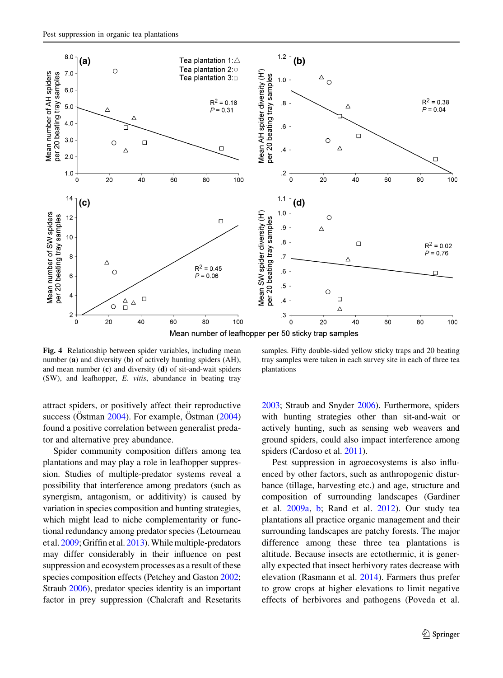<span id="page-6-0"></span>

Fig. 4 Relationship between spider variables, including mean number (a) and diversity (b) of actively hunting spiders (AH), and mean number (c) and diversity (d) of sit-and-wait spiders (SW), and leafhopper, E. vitis, abundance in beating tray

attract spiders, or positively affect their reproductive success ( $\ddot{\text{O}}$ stman [2004\)](#page-7-0). For example,  $\ddot{\text{O}}$ stman (2004) found a positive correlation between generalist predator and alternative prey abundance.

Spider community composition differs among tea plantations and may play a role in leafhopper suppression. Studies of multiple-predator systems reveal a possibility that interference among predators (such as synergism, antagonism, or additivity) is caused by variation in species composition and hunting strategies, which might lead to niche complementarity or functional redundancy among predator species (Letourneau et al. [2009;](#page-7-0) Griffin et al. [2013](#page-7-0)).While multiple-predators may differ considerably in their influence on pest suppression and ecosystem processes as a result of these species composition effects (Petchey and Gaston [2002](#page-7-0); Straub [2006\)](#page-8-0), predator species identity is an important factor in prey suppression (Chalcraft and Resetarits

samples. Fifty double-sided yellow sticky traps and 20 beating tray samples were taken in each survey site in each of three tea plantations

[2003](#page-7-0); Straub and Snyder [2006](#page-8-0)). Furthermore, spiders with hunting strategies other than sit-and-wait or actively hunting, such as sensing web weavers and ground spiders, could also impact interference among spiders (Cardoso et al. [2011](#page-7-0)).

Pest suppression in agroecosystems is also influenced by other factors, such as anthropogenic disturbance (tillage, harvesting etc.) and age, structure and composition of surrounding landscapes (Gardiner et al. [2009a,](#page-7-0) [b](#page-7-0); Rand et al. [2012](#page-7-0)). Our study tea plantations all practice organic management and their surrounding landscapes are patchy forests. The major difference among these three tea plantations is altitude. Because insects are ectothermic, it is generally expected that insect herbivory rates decrease with elevation (Rasmann et al. [2014\)](#page-7-0). Farmers thus prefer to grow crops at higher elevations to limit negative effects of herbivores and pathogens (Poveda et al.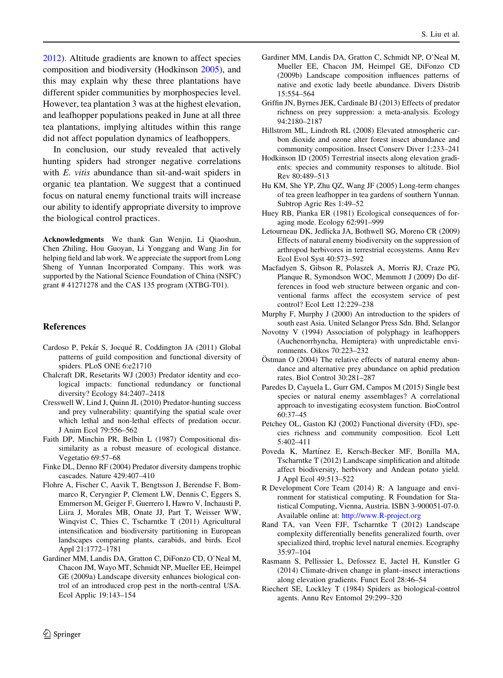<span id="page-7-0"></span>2012). Altitude gradients are known to affect species composition and biodiversity (Hodkinson 2005), and this may explain why these three plantations have different spider communities by morphospecies level. However, tea plantation 3 was at the highest elevation, and leafhopper populations peaked in June at all three tea plantations, implying altitudes within this range did not affect population dynamics of leafhoppers.

In conclusion, our study revealed that actively hunting spiders had stronger negative correlations with *E. vitis* abundance than sit-and-wait spiders in organic tea plantation. We suggest that a continued focus on natural enemy functional traits will increase our ability to identify appropriate diversity to improve the biological control practices.

Acknowledgments We thank Gan Wenjin, Li Qiaoshun, Chen Zhiling, Hou Guoyan, Li Yonggang and Wang Jin for helping field and lab work. We appreciate the support from Long Sheng of Yunnan Incorporated Company. This work was supported by the National Science Foundation of China (NSFC) grant # 41271278 and the CAS 135 program (XTBG-T01).

#### References

- Cardoso P, Pekár S, Jocqué R, Coddington JA (2011) Global patterns of guild composition and functional diversity of spiders. PLoS ONE 6:e21710
- Chalcraft DR, Resetarits WJ (2003) Predator identity and ecological impacts: functional redundancy or functional diversity? Ecology 84:2407–2418
- Cresswell W, Lind J, Quinn JL (2010) Predator-hunting success and prey vulnerability: quantifying the spatial scale over which lethal and non-lethal effects of predation occur. J Anim Ecol 79:556–562
- Faith DP, Minchin PR, Belbin L (1987) Compositional dissimilarity as a robust measure of ecological distance. Vegetatio 69:57–68
- Finke DL, Denno RF (2004) Predator diversity dampens trophic cascades. Nature 429:407–410
- Flohre A, Fischer C, Aavik T, Bengtsson J, Berendse F, Bommarco R, Ceryngier P, Clement LW, Dennis C, Eggers S, Emmerson M, Geiger F, Guerrero I, Hawro V, Inchausti P, Liira J, Morales MB, Onate JJ, Part T, Weisser WW, Winqvist C, Thies C, Tscharntke T (2011) Agricultural intensification and biodiversity partitioning in European landscapes comparing plants, carabids, and birds. Ecol Appl 21:1772–1781
- Gardiner MM, Landis DA, Gratton C, DiFonzo CD, O'Neal M, Chacon JM, Wayo MT, Schmidt NP, Mueller EE, Heimpel GE (2009a) Landscape diversity enhances biological control of an introduced crop pest in the north-central USA. Ecol Applic 19:143–154
- Gardiner MM, Landis DA, Gratton C, Schmidt NP, O'Neal M, Mueller EE, Chacon JM, Heimpel GE, DiFonzo CD (2009b) Landscape composition influences patterns of native and exotic lady beetle abundance. Divers Distrib 15:554–564
- Griffin JN, Byrnes JEK, Cardinale BJ (2013) Effects of predator richness on prey suppression: a meta-analysis. Ecology 94:2180–2187
- Hillstrom ML, Lindroth RL (2008) Elevated atmospheric carbon dioxide and ozone alter forest insect abundance and community composition. Insect Conserv Diver 1:233–241
- Hodkinson ID (2005) Terrestrial insects along elevation gradients: species and community responses to altitude. Biol Rev 80:489–513
- Hu KM, She YP, Zhu QZ, Wang JF (2005) Long-term changes of tea green leafhopper in tea gardens of southern Yunnan. Subtrop Agric Res 1:49–52
- Huey RB, Pianka ER (1981) Ecological consequences of foraging mode. Ecology 62:991–999
- Letourneau DK, Jedlicka JA, Bothwell SG, Moreno CR (2009) Effects of natural enemy biodiversity on the suppression of arthropod herbivores in terrestrial ecosystems. Annu Rev Ecol Evol Syst 40:573–592
- Macfadyen S, Gibson R, Polaszek A, Morris RJ, Craze PG, Planque R, Symondson WOC, Memmott J (2009) Do differences in food web structure between organic and conventional farms affect the ecosystem service of pest control? Ecol Lett 12:229–238
- Murphy F, Murphy J (2000) An introduction to the spiders of south east Asia. United Selangor Press Sdn. Bhd, Selangor
- Novotny V (1994) Association of polyphagy in leafhoppers (Auchenorrhyncha, Hemiptera) with unpredictable environments. Oikos 70:223–232
- Östman O (2004) The relative effects of natural enemy abundance and alternative prey abundance on aphid predation rates. Biol Control 30:281–287
- Paredes D, Cayuela L, Gurr GM, Campos M (2015) Single best species or natural enemy assemblages? A correlational approach to investigating ecosystem function. BioControl 60:37–45
- Petchey OL, Gaston KJ (2002) Functional diversity (FD), species richness and community composition. Ecol Lett 5:402–411
- Poveda K, Martínez E, Kersch-Becker MF, Bonilla MA, Tscharntke T (2012) Landscape simplification and altitude affect biodiversity, herbivory and Andean potato yield. J Appl Ecol 49:513–522
- R Development Core Team (2014) R: A language and environment for statistical computing. R Foundation for Statistical Computing, Vienna, Austria. ISBN 3-900051-07-0. Available online at: <http://www.R-project.org>
- Rand TA, van Veen FJF, Tscharntke T (2012) Landscape complexity differentially benefits generalized fourth, over specialized third, trophic level natural enemies. Ecography 35:97–104
- Rasmann S, Pellissier L, Defossez E, Jactel H, Kunstler G (2014) Climate-driven change in plant–insect interactions along elevation gradients. Funct Ecol 28:46–54
- Riechert SE, Lockley T (1984) Spiders as biological-control agents. Annu Rev Entomol 29:299–320